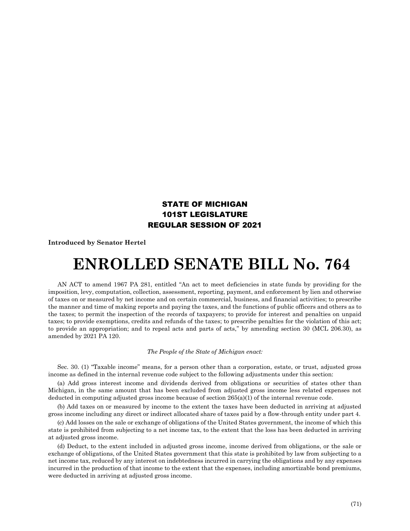## STATE OF MICHIGAN 101ST LEGISLATURE REGULAR SESSION OF 2021

**Introduced by Senator Hertel**

## **ENROLLED SENATE BILL No. 764**

AN ACT to amend 1967 PA 281, entitled "An act to meet deficiencies in state funds by providing for the imposition, levy, computation, collection, assessment, reporting, payment, and enforcement by lien and otherwise of taxes on or measured by net income and on certain commercial, business, and financial activities; to prescribe the manner and time of making reports and paying the taxes, and the functions of public officers and others as to the taxes; to permit the inspection of the records of taxpayers; to provide for interest and penalties on unpaid taxes; to provide exemptions, credits and refunds of the taxes; to prescribe penalties for the violation of this act; to provide an appropriation; and to repeal acts and parts of acts," by amending section 30 (MCL 206.30), as amended by 2021 PA 120.

## *The People of the State of Michigan enact:*

Sec. 30. (1) "Taxable income" means, for a person other than a corporation, estate, or trust, adjusted gross income as defined in the internal revenue code subject to the following adjustments under this section:

(a) Add gross interest income and dividends derived from obligations or securities of states other than Michigan, in the same amount that has been excluded from adjusted gross income less related expenses not deducted in computing adjusted gross income because of section 265(a)(1) of the internal revenue code.

(b) Add taxes on or measured by income to the extent the taxes have been deducted in arriving at adjusted gross income including any direct or indirect allocated share of taxes paid by a flow-through entity under part 4.

(c) Add losses on the sale or exchange of obligations of the United States government, the income of which this state is prohibited from subjecting to a net income tax, to the extent that the loss has been deducted in arriving at adjusted gross income.

(d) Deduct, to the extent included in adjusted gross income, income derived from obligations, or the sale or exchange of obligations, of the United States government that this state is prohibited by law from subjecting to a net income tax, reduced by any interest on indebtedness incurred in carrying the obligations and by any expenses incurred in the production of that income to the extent that the expenses, including amortizable bond premiums, were deducted in arriving at adjusted gross income.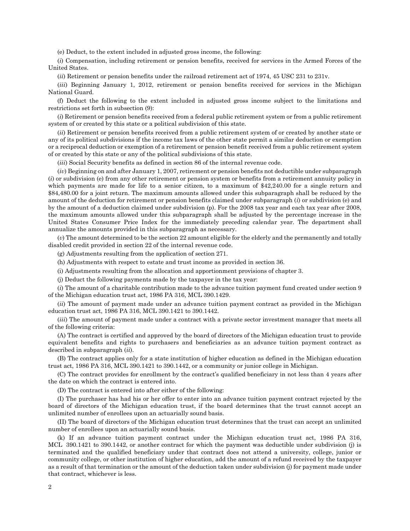(e) Deduct, to the extent included in adjusted gross income, the following:

(*i*) Compensation, including retirement or pension benefits, received for services in the Armed Forces of the United States.

(*ii*) Retirement or pension benefits under the railroad retirement act of 1974, 45 USC 231 to 231v.

(*iii*) Beginning January 1, 2012, retirement or pension benefits received for services in the Michigan National Guard.

(f) Deduct the following to the extent included in adjusted gross income subject to the limitations and restrictions set forth in subsection (9):

(*i*) Retirement or pension benefits received from a federal public retirement system or from a public retirement system of or created by this state or a political subdivision of this state.

(*ii*) Retirement or pension benefits received from a public retirement system of or created by another state or any of its political subdivisions if the income tax laws of the other state permit a similar deduction or exemption or a reciprocal deduction or exemption of a retirement or pension benefit received from a public retirement system of or created by this state or any of the political subdivisions of this state.

(*iii*) Social Security benefits as defined in section 86 of the internal revenue code.

(*iv*) Beginning on and after January 1, 2007, retirement or pension benefits not deductible under subparagraph (*i*) or subdivision (e) from any other retirement or pension system or benefits from a retirement annuity policy in which payments are made for life to a senior citizen, to a maximum of \$42,240.00 for a single return and \$84,480.00 for a joint return. The maximum amounts allowed under this subparagraph shall be reduced by the amount of the deduction for retirement or pension benefits claimed under subparagraph (*i*) or subdivision (e) and by the amount of a deduction claimed under subdivision (p). For the 2008 tax year and each tax year after 2008, the maximum amounts allowed under this subparagraph shall be adjusted by the percentage increase in the United States Consumer Price Index for the immediately preceding calendar year. The department shall annualize the amounts provided in this subparagraph as necessary.

(*v*) The amount determined to be the section 22 amount eligible for the elderly and the permanently and totally disabled credit provided in section 22 of the internal revenue code.

(g) Adjustments resulting from the application of section 271.

(h) Adjustments with respect to estate and trust income as provided in section 36.

(i) Adjustments resulting from the allocation and apportionment provisions of chapter 3.

(j) Deduct the following payments made by the taxpayer in the tax year:

(*i*) The amount of a charitable contribution made to the advance tuition payment fund created under section 9 of the Michigan education trust act, 1986 PA 316, MCL 390.1429.

(*ii*) The amount of payment made under an advance tuition payment contract as provided in the Michigan education trust act, 1986 PA 316, MCL 390.1421 to 390.1442.

(*iii*) The amount of payment made under a contract with a private sector investment manager that meets all of the following criteria:

(A) The contract is certified and approved by the board of directors of the Michigan education trust to provide equivalent benefits and rights to purchasers and beneficiaries as an advance tuition payment contract as described in subparagraph (*ii*).

(B) The contract applies only for a state institution of higher education as defined in the Michigan education trust act, 1986 PA 316, MCL 390.1421 to 390.1442, or a community or junior college in Michigan.

(C) The contract provides for enrollment by the contract's qualified beneficiary in not less than 4 years after the date on which the contract is entered into.

(D) The contract is entered into after either of the following:

(I) The purchaser has had his or her offer to enter into an advance tuition payment contract rejected by the board of directors of the Michigan education trust, if the board determines that the trust cannot accept an unlimited number of enrollees upon an actuarially sound basis.

(II) The board of directors of the Michigan education trust determines that the trust can accept an unlimited number of enrollees upon an actuarially sound basis.

(k) If an advance tuition payment contract under the Michigan education trust act, 1986 PA 316, MCL 390.1421 to 390.1442, or another contract for which the payment was deductible under subdivision (j) is terminated and the qualified beneficiary under that contract does not attend a university, college, junior or community college, or other institution of higher education, add the amount of a refund received by the taxpayer as a result of that termination or the amount of the deduction taken under subdivision (j) for payment made under that contract, whichever is less.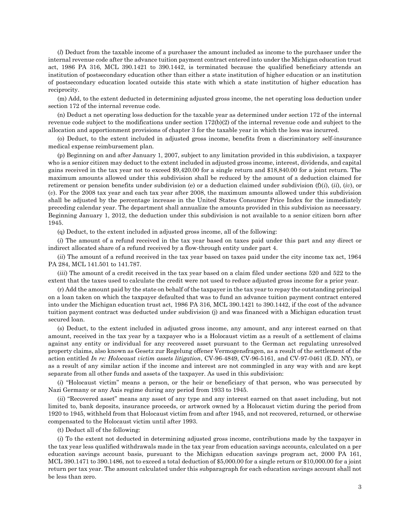(*l*) Deduct from the taxable income of a purchaser the amount included as income to the purchaser under the internal revenue code after the advance tuition payment contract entered into under the Michigan education trust act, 1986 PA 316, MCL 390.1421 to 390.1442, is terminated because the qualified beneficiary attends an institution of postsecondary education other than either a state institution of higher education or an institution of postsecondary education located outside this state with which a state institution of higher education has reciprocity.

(m) Add, to the extent deducted in determining adjusted gross income, the net operating loss deduction under section 172 of the internal revenue code.

(n) Deduct a net operating loss deduction for the taxable year as determined under section 172 of the internal revenue code subject to the modifications under section 172(b)(2) of the internal revenue code and subject to the allocation and apportionment provisions of chapter 3 for the taxable year in which the loss was incurred.

(o) Deduct, to the extent included in adjusted gross income, benefits from a discriminatory self-insurance medical expense reimbursement plan.

(p) Beginning on and after January 1, 2007, subject to any limitation provided in this subdivision, a taxpayer who is a senior citizen may deduct to the extent included in adjusted gross income, interest, dividends, and capital gains received in the tax year not to exceed \$9,420.00 for a single return and \$18,840.00 for a joint return. The maximum amounts allowed under this subdivision shall be reduced by the amount of a deduction claimed for retirement or pension benefits under subdivision (e) or a deduction claimed under subdivision (f)(*i*), (*ii*), (*iv*), or (*v*). For the 2008 tax year and each tax year after 2008, the maximum amounts allowed under this subdivision shall be adjusted by the percentage increase in the United States Consumer Price Index for the immediately preceding calendar year. The department shall annualize the amounts provided in this subdivision as necessary. Beginning January 1, 2012, the deduction under this subdivision is not available to a senior citizen born after 1945.

(q) Deduct, to the extent included in adjusted gross income, all of the following:

(*i*) The amount of a refund received in the tax year based on taxes paid under this part and any direct or indirect allocated share of a refund received by a flow-through entity under part 4.

(*ii*) The amount of a refund received in the tax year based on taxes paid under the city income tax act, 1964 PA 284, MCL 141.501 to 141.787.

(*iii*) The amount of a credit received in the tax year based on a claim filed under sections 520 and 522 to the extent that the taxes used to calculate the credit were not used to reduce adjusted gross income for a prior year.

(r) Add the amount paid by the state on behalf of the taxpayer in the tax year to repay the outstanding principal on a loan taken on which the taxpayer defaulted that was to fund an advance tuition payment contract entered into under the Michigan education trust act, 1986 PA 316, MCL 390.1421 to 390.1442, if the cost of the advance tuition payment contract was deducted under subdivision (j) and was financed with a Michigan education trust secured loan.

(s) Deduct, to the extent included in adjusted gross income, any amount, and any interest earned on that amount, received in the tax year by a taxpayer who is a Holocaust victim as a result of a settlement of claims against any entity or individual for any recovered asset pursuant to the German act regulating unresolved property claims, also known as Gesetz zur Regelung offener Vermogensfragen, as a result of the settlement of the action entitled *In re: Holocaust victim assets litigation*, CV-96-4849, CV-96-5161, and CV-97-0461 (E.D. NY), or as a result of any similar action if the income and interest are not commingled in any way with and are kept separate from all other funds and assets of the taxpayer. As used in this subdivision:

(*i*) "Holocaust victim" means a person, or the heir or beneficiary of that person, who was persecuted by Nazi Germany or any Axis regime during any period from 1933 to 1945.

(*ii*) "Recovered asset" means any asset of any type and any interest earned on that asset including, but not limited to, bank deposits, insurance proceeds, or artwork owned by a Holocaust victim during the period from 1920 to 1945, withheld from that Holocaust victim from and after 1945, and not recovered, returned, or otherwise compensated to the Holocaust victim until after 1993.

(t) Deduct all of the following:

(*i*) To the extent not deducted in determining adjusted gross income, contributions made by the taxpayer in the tax year less qualified withdrawals made in the tax year from education savings accounts, calculated on a per education savings account basis, pursuant to the Michigan education savings program act, 2000 PA 161, MCL 390.1471 to 390.1486, not to exceed a total deduction of \$5,000.00 for a single return or \$10,000.00 for a joint return per tax year. The amount calculated under this subparagraph for each education savings account shall not be less than zero.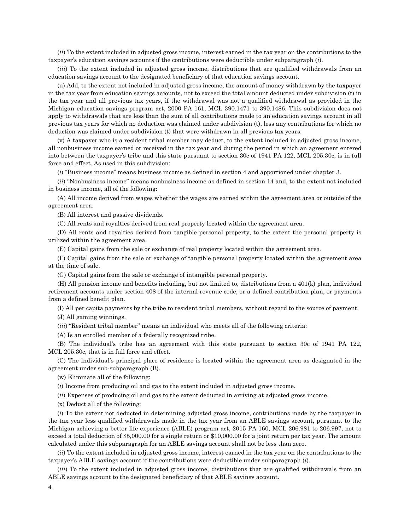(*ii*) To the extent included in adjusted gross income, interest earned in the tax year on the contributions to the taxpayer's education savings accounts if the contributions were deductible under subparagraph (*i*).

(*iii*) To the extent included in adjusted gross income, distributions that are qualified withdrawals from an education savings account to the designated beneficiary of that education savings account.

(u) Add, to the extent not included in adjusted gross income, the amount of money withdrawn by the taxpayer in the tax year from education savings accounts, not to exceed the total amount deducted under subdivision (t) in the tax year and all previous tax years, if the withdrawal was not a qualified withdrawal as provided in the Michigan education savings program act, 2000 PA 161, MCL 390.1471 to 390.1486. This subdivision does not apply to withdrawals that are less than the sum of all contributions made to an education savings account in all previous tax years for which no deduction was claimed under subdivision (t), less any contributions for which no deduction was claimed under subdivision (t) that were withdrawn in all previous tax years.

(v) A taxpayer who is a resident tribal member may deduct, to the extent included in adjusted gross income, all nonbusiness income earned or received in the tax year and during the period in which an agreement entered into between the taxpayer's tribe and this state pursuant to section 30c of 1941 PA 122, MCL 205.30c, is in full force and effect. As used in this subdivision:

(*i*) "Business income" means business income as defined in section 4 and apportioned under chapter 3.

(*ii*) "Nonbusiness income" means nonbusiness income as defined in section 14 and, to the extent not included in business income, all of the following:

(A) All income derived from wages whether the wages are earned within the agreement area or outside of the agreement area.

(B) All interest and passive dividends.

(C) All rents and royalties derived from real property located within the agreement area.

(D) All rents and royalties derived from tangible personal property, to the extent the personal property is utilized within the agreement area.

(E) Capital gains from the sale or exchange of real property located within the agreement area.

(F) Capital gains from the sale or exchange of tangible personal property located within the agreement area at the time of sale.

(G) Capital gains from the sale or exchange of intangible personal property.

(H) All pension income and benefits including, but not limited to, distributions from a 401(k) plan, individual retirement accounts under section 408 of the internal revenue code, or a defined contribution plan, or payments from a defined benefit plan.

(I) All per capita payments by the tribe to resident tribal members, without regard to the source of payment.

(J) All gaming winnings.

(*iii*) "Resident tribal member" means an individual who meets all of the following criteria:

(A) Is an enrolled member of a federally recognized tribe.

(B) The individual's tribe has an agreement with this state pursuant to section 30c of 1941 PA 122, MCL 205.30c, that is in full force and effect.

(C) The individual's principal place of residence is located within the agreement area as designated in the agreement under sub-subparagraph (B).

(w) Eliminate all of the following:

(*i*) Income from producing oil and gas to the extent included in adjusted gross income.

(*ii*) Expenses of producing oil and gas to the extent deducted in arriving at adjusted gross income.

(x) Deduct all of the following:

(*i*) To the extent not deducted in determining adjusted gross income, contributions made by the taxpayer in the tax year less qualified withdrawals made in the tax year from an ABLE savings account, pursuant to the Michigan achieving a better life experience (ABLE) program act, 2015 PA 160, MCL 206.981 to 206.997, not to exceed a total deduction of \$5,000.00 for a single return or \$10,000.00 for a joint return per tax year. The amount calculated under this subparagraph for an ABLE savings account shall not be less than zero.

(*ii*) To the extent included in adjusted gross income, interest earned in the tax year on the contributions to the taxpayer's ABLE savings account if the contributions were deductible under subparagraph (*i*).

(*iii*) To the extent included in adjusted gross income, distributions that are qualified withdrawals from an ABLE savings account to the designated beneficiary of that ABLE savings account.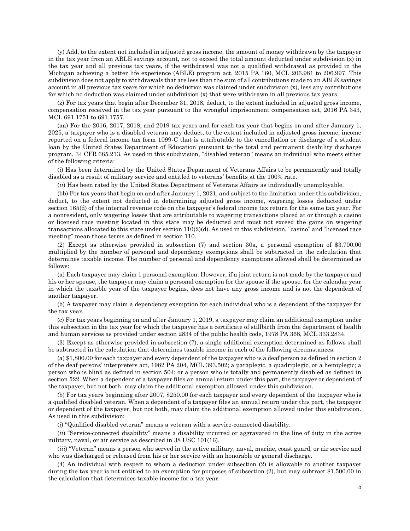(y) Add, to the extent not included in adjusted gross income, the amount of money withdrawn by the taxpayer in the tax year from an ABLE savings account, not to exceed the total amount deducted under subdivision (x) in the tax year and all previous tax years, if the withdrawal was not a qualified withdrawal as provided in the Michigan achieving a better life experience (ABLE) program act, 2015 PA 160, MCL 206.981 to 206.997. This subdivision does not apply to withdrawals that are less than the sum of all contributions made to an ABLE savings account in all previous tax years for which no deduction was claimed under subdivision (x), less any contributions for which no deduction was claimed under subdivision (x) that were withdrawn in all previous tax years.

(z) For tax years that begin after December 31, 2018, deduct, to the extent included in adjusted gross income, compensation received in the tax year pursuant to the wrongful imprisonment compensation act, 2016 PA 343, MCL 691.1751 to 691.1757.

(aa) For the 2016, 2017, 2018, and 2019 tax years and for each tax year that begins on and after January 1, 2025, a taxpayer who is a disabled veteran may deduct, to the extent included in adjusted gross income, income reported on a federal income tax form 1099-C that is attributable to the cancellation or discharge of a student loan by the United States Department of Education pursuant to the total and permanent disability discharge program, 34 CFR 685.213. As used in this subdivision, "disabled veteran" means an individual who meets either of the following criteria:

(*i*) Has been determined by the United States Department of Veterans Affairs to be permanently and totally disabled as a result of military service and entitled to veterans' benefits at the 100% rate.

(*ii*) Has been rated by the United States Department of Veterans Affairs as individually unemployable.

(bb) For tax years that begin on and after January 1, 2021, and subject to the limitation under this subdivision, deduct, to the extent not deducted in determining adjusted gross income, wagering losses deducted under section 165(d) of the internal revenue code on the taxpayer's federal income tax return for the same tax year. For a nonresident, only wagering losses that are attributable to wagering transactions placed at or through a casino or licensed race meeting located in this state may be deducted and must not exceed the gains on wagering transactions allocated to this state under section 110(2)(d). As used in this subdivision, "casino" and "licensed race meeting" mean those terms as defined in section 110.

(2) Except as otherwise provided in subsection (7) and section 30a, a personal exemption of \$3,700.00 multiplied by the number of personal and dependency exemptions shall be subtracted in the calculation that determines taxable income. The number of personal and dependency exemptions allowed shall be determined as follows:

(a) Each taxpayer may claim 1 personal exemption. However, if a joint return is not made by the taxpayer and his or her spouse, the taxpayer may claim a personal exemption for the spouse if the spouse, for the calendar year in which the taxable year of the taxpayer begins, does not have any gross income and is not the dependent of another taxpayer.

(b) A taxpayer may claim a dependency exemption for each individual who is a dependent of the taxpayer for the tax year.

(c) For tax years beginning on and after January 1, 2019, a taxpayer may claim an additional exemption under this subsection in the tax year for which the taxpayer has a certificate of stillbirth from the department of health and human services as provided under section 2834 of the public health code, 1978 PA 368, MCL 333.2834.

(3) Except as otherwise provided in subsection (7), a single additional exemption determined as follows shall be subtracted in the calculation that determines taxable income in each of the following circumstances:

(a) \$1,800.00 for each taxpayer and every dependent of the taxpayer who is a deaf person as defined in section 2 of the deaf persons' interpreters act, 1982 PA 204, MCL 393.502; a paraplegic, a quadriplegic, or a hemiplegic; a person who is blind as defined in section 504; or a person who is totally and permanently disabled as defined in section 522. When a dependent of a taxpayer files an annual return under this part, the taxpayer or dependent of the taxpayer, but not both, may claim the additional exemption allowed under this subdivision.

(b) For tax years beginning after 2007, \$250.00 for each taxpayer and every dependent of the taxpayer who is a qualified disabled veteran. When a dependent of a taxpayer files an annual return under this part, the taxpayer or dependent of the taxpayer, but not both, may claim the additional exemption allowed under this subdivision. As used in this subdivision:

(*i*) "Qualified disabled veteran" means a veteran with a service-connected disability.

(*ii*) "Service-connected disability" means a disability incurred or aggravated in the line of duty in the active military, naval, or air service as described in 38 USC 101(16).

(*iii*) "Veteran" means a person who served in the active military, naval, marine, coast guard, or air service and who was discharged or released from his or her service with an honorable or general discharge.

(4) An individual with respect to whom a deduction under subsection (2) is allowable to another taxpayer during the tax year is not entitled to an exemption for purposes of subsection (2), but may subtract \$1,500.00 in the calculation that determines taxable income for a tax year.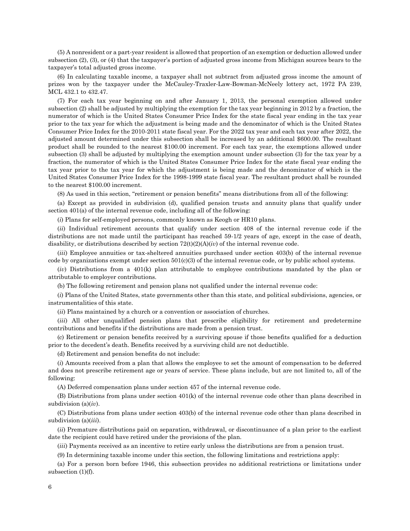(5) A nonresident or a part-year resident is allowed that proportion of an exemption or deduction allowed under subsection (2), (3), or (4) that the taxpayer's portion of adjusted gross income from Michigan sources bears to the taxpayer's total adjusted gross income.

(6) In calculating taxable income, a taxpayer shall not subtract from adjusted gross income the amount of prizes won by the taxpayer under the McCauley-Traxler-Law-Bowman-McNeely lottery act, 1972 PA 239, MCL 432.1 to 432.47.

(7) For each tax year beginning on and after January 1, 2013, the personal exemption allowed under subsection (2) shall be adjusted by multiplying the exemption for the tax year beginning in 2012 by a fraction, the numerator of which is the United States Consumer Price Index for the state fiscal year ending in the tax year prior to the tax year for which the adjustment is being made and the denominator of which is the United States Consumer Price Index for the 2010-2011 state fiscal year. For the 2022 tax year and each tax year after 2022, the adjusted amount determined under this subsection shall be increased by an additional \$600.00. The resultant product shall be rounded to the nearest \$100.00 increment. For each tax year, the exemptions allowed under subsection (3) shall be adjusted by multiplying the exemption amount under subsection (3) for the tax year by a fraction, the numerator of which is the United States Consumer Price Index for the state fiscal year ending the tax year prior to the tax year for which the adjustment is being made and the denominator of which is the United States Consumer Price Index for the 1998-1999 state fiscal year. The resultant product shall be rounded to the nearest \$100.00 increment.

(8) As used in this section, "retirement or pension benefits" means distributions from all of the following:

(a) Except as provided in subdivision (d), qualified pension trusts and annuity plans that qualify under section 401(a) of the internal revenue code, including all of the following:

(*i*) Plans for self-employed persons, commonly known as Keogh or HR10 plans.

(*ii*) Individual retirement accounts that qualify under section 408 of the internal revenue code if the distributions are not made until the participant has reached 59-1/2 years of age, except in the case of death, disability, or distributions described by section  $72(t)(2)(A)(iv)$  of the internal revenue code.

(*iii*) Employee annuities or tax-sheltered annuities purchased under section 403(b) of the internal revenue code by organizations exempt under section  $501(c)(3)$  of the internal revenue code, or by public school systems.

(*iv*) Distributions from a 401(k) plan attributable to employee contributions mandated by the plan or attributable to employer contributions.

(b) The following retirement and pension plans not qualified under the internal revenue code:

(*i*) Plans of the United States, state governments other than this state, and political subdivisions, agencies, or instrumentalities of this state.

(*ii*) Plans maintained by a church or a convention or association of churches.

(*iii*) All other unqualified pension plans that prescribe eligibility for retirement and predetermine contributions and benefits if the distributions are made from a pension trust.

(c) Retirement or pension benefits received by a surviving spouse if those benefits qualified for a deduction prior to the decedent's death. Benefits received by a surviving child are not deductible.

(d) Retirement and pension benefits do not include:

(*i*) Amounts received from a plan that allows the employee to set the amount of compensation to be deferred and does not prescribe retirement age or years of service. These plans include, but are not limited to, all of the following:

(A) Deferred compensation plans under section 457 of the internal revenue code.

(B) Distributions from plans under section 401(k) of the internal revenue code other than plans described in subdivision (a)(*iv*).

(C) Distributions from plans under section 403(b) of the internal revenue code other than plans described in subdivision (a)(*iii*).

(*ii*) Premature distributions paid on separation, withdrawal, or discontinuance of a plan prior to the earliest date the recipient could have retired under the provisions of the plan.

(*iii*) Payments received as an incentive to retire early unless the distributions are from a pension trust.

(9) In determining taxable income under this section, the following limitations and restrictions apply:

(a) For a person born before 1946, this subsection provides no additional restrictions or limitations under subsection (1)(f).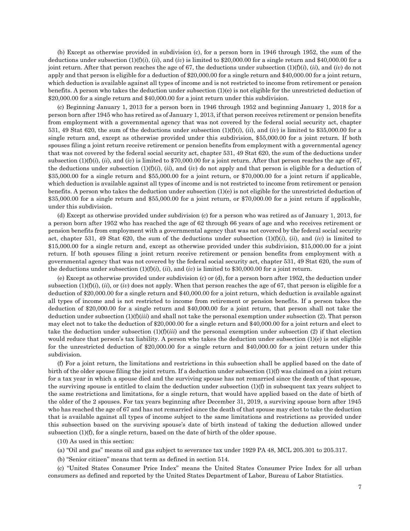(b) Except as otherwise provided in subdivision (c), for a person born in 1946 through 1952, the sum of the deductions under subsection (1)(f)(*i*), (*ii*), and (*iv*) is limited to \$20,000.00 for a single return and \$40,000.00 for a joint return. After that person reaches the age of 67, the deductions under subsection (1)(f)(*i*), (*ii*), and (*iv*) do not apply and that person is eligible for a deduction of \$20,000.00 for a single return and \$40,000.00 for a joint return, which deduction is available against all types of income and is not restricted to income from retirement or pension benefits. A person who takes the deduction under subsection (1)(e) is not eligible for the unrestricted deduction of \$20,000.00 for a single return and \$40,000.00 for a joint return under this subdivision.

(c) Beginning January 1, 2013 for a person born in 1946 through 1952 and beginning January 1, 2018 for a person born after 1945 who has retired as of January 1, 2013, if that person receives retirement or pension benefits from employment with a governmental agency that was not covered by the federal social security act, chapter 531, 49 Stat 620, the sum of the deductions under subsection  $(1)(f)(i)$ ,  $(ii)$ , and  $(iv)$  is limited to \$35,000.00 for a single return and, except as otherwise provided under this subdivision, \$55,000.00 for a joint return. If both spouses filing a joint return receive retirement or pension benefits from employment with a governmental agency that was not covered by the federal social security act, chapter 531, 49 Stat 620, the sum of the deductions under subsection  $(1)(f)(i)$ ,  $(ii)$ , and  $(iv)$  is limited to \$70,000.00 for a joint return. After that person reaches the age of 67, the deductions under subsection  $(1)(f)(i)$ ,  $(ii)$ , and  $(iv)$  do not apply and that person is eligible for a deduction of \$35,000.00 for a single return and \$55,000.00 for a joint return, or \$70,000.00 for a joint return if applicable, which deduction is available against all types of income and is not restricted to income from retirement or pension benefits. A person who takes the deduction under subsection (1)(e) is not eligible for the unrestricted deduction of \$35,000.00 for a single return and \$55,000.00 for a joint return, or \$70,000.00 for a joint return if applicable, under this subdivision.

(d) Except as otherwise provided under subdivision (c) for a person who was retired as of January 1, 2013, for a person born after 1952 who has reached the age of 62 through 66 years of age and who receives retirement or pension benefits from employment with a governmental agency that was not covered by the federal social security act, chapter 531, 49 Stat 620, the sum of the deductions under subsection  $(1)(f)(i)$ ,  $(ii)$ , and  $(iv)$  is limited to \$15,000.00 for a single return and, except as otherwise provided under this subdivision, \$15,000.00 for a joint return. If both spouses filing a joint return receive retirement or pension benefits from employment with a governmental agency that was not covered by the federal social security act, chapter 531, 49 Stat 620, the sum of the deductions under subsection  $(1)(f)(i)$ ,  $(ii)$ , and  $(iv)$  is limited to \$30,000.00 for a joint return.

(e) Except as otherwise provided under subdivision (c) or (d), for a person born after 1952, the deduction under subsection  $(1)(f)(i)$ ,  $(ii)$ , or  $(iv)$  does not apply. When that person reaches the age of 67, that person is eligible for a deduction of \$20,000.00 for a single return and \$40,000.00 for a joint return, which deduction is available against all types of income and is not restricted to income from retirement or pension benefits. If a person takes the deduction of \$20,000.00 for a single return and \$40,000.00 for a joint return, that person shall not take the deduction under subsection (1)(f)(*iii*) and shall not take the personal exemption under subsection (2). That person may elect not to take the deduction of \$20,000.00 for a single return and \$40,000.00 for a joint return and elect to take the deduction under subsection  $(1)(f)(iii)$  and the personal exemption under subsection  $(2)$  if that election would reduce that person's tax liability. A person who takes the deduction under subsection (1)(e) is not eligible for the unrestricted deduction of \$20,000.00 for a single return and \$40,000.00 for a joint return under this subdivision.

(f) For a joint return, the limitations and restrictions in this subsection shall be applied based on the date of birth of the older spouse filing the joint return. If a deduction under subsection (1)(f) was claimed on a joint return for a tax year in which a spouse died and the surviving spouse has not remarried since the death of that spouse, the surviving spouse is entitled to claim the deduction under subsection (1)(f) in subsequent tax years subject to the same restrictions and limitations, for a single return, that would have applied based on the date of birth of the older of the 2 spouses. For tax years beginning after December 31, 2019, a surviving spouse born after 1945 who has reached the age of 67 and has not remarried since the death of that spouse may elect to take the deduction that is available against all types of income subject to the same limitations and restrictions as provided under this subsection based on the surviving spouse's date of birth instead of taking the deduction allowed under subsection (1)(f), for a single return, based on the date of birth of the older spouse.

(10) As used in this section:

- (a) "Oil and gas" means oil and gas subject to severance tax under 1929 PA 48, MCL 205.301 to 205.317.
- (b) "Senior citizen" means that term as defined in section 514.

(c) "United States Consumer Price Index" means the United States Consumer Price Index for all urban consumers as defined and reported by the United States Department of Labor, Bureau of Labor Statistics.